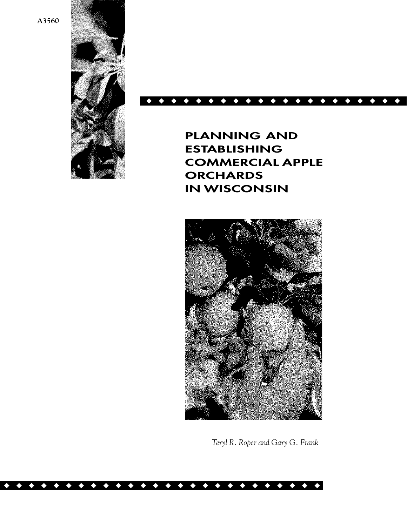**A3560**



## ◆◆◆◆◆◆◆◆◆◆◆◆◆◆◆◆◆◆◆◆◆

**PLANNING AND ESTABLISHING COMMERCIAL APPLE ORCHARDS IN WISCONSIN**



*Teryl R. Roper and Gary G. Frank*

◆◆◆◆◆◆◆◆◆◆◆◆◆◆◆◆◆◆◆◆◆◆◆◆◆◆◆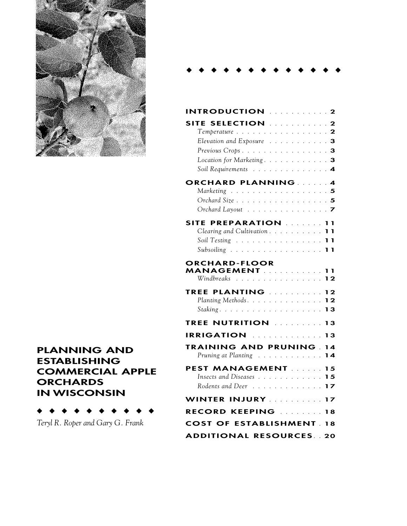

# **PLANNING AND ESTABLISHING COMMERCIAL APPLE ORCHARDS IN WISCONSIN**

◆◆◆◆◆◆◆◆◆◆

*Teryl R. Roper and Gary G. Frank*

#### ◆◆◆◆◆◆◆◆◆◆◆◆◆

| <b>INTRODUCTION</b> 2                                                                  |                |
|----------------------------------------------------------------------------------------|----------------|
| SITE SELECTION Alle and the<br>Temperature $\ldots \ldots \ldots \ldots \ldots \ldots$ | $\mathbf{2}$   |
| Elevation and Exposure 3                                                               |                |
| Previous Crops3                                                                        |                |
| Location for Marketing. 3                                                              |                |
| Soil Requirements 4                                                                    |                |
| <b>ORCHARD PLANNING </b>                                                               | $\therefore$ 4 |
| Marketing                                                                              | .5             |
| Orchard Size 5                                                                         |                |
| Orchard Layout 7                                                                       |                |
| SITE PREPARATION 11                                                                    |                |
| Clearing and Cultivation 11                                                            |                |
| Soil Testing 11                                                                        |                |
| Subsoiling 11                                                                          |                |
| <b>ORCHARD-FLOOR</b><br><b>MANAGEMENT</b><br>Windbreaks                                | 11<br>12       |
|                                                                                        |                |
| TREE PLANTING<br>Planting Methods.                                                     | 12<br>12       |
|                                                                                        | 13             |
| TREE NUTRITION And a series                                                            | 13             |
| IRRIGATION ALLER CONTRACT                                                              | 13             |
| <b>TRAINING AND PRUNING.</b>                                                           | 14             |
| Pruning at Planting                                                                    | 14             |
| <b>PEST MANAGEMENT</b><br>$\mathbb{R}^{\mathbb{Z}}$                                    | 15             |
| Insects and Diseases                                                                   | 15             |
| Rodents and Deer 17                                                                    |                |
| WINTER INJURY 17                                                                       |                |
| <b>RECORD KEEPING MARKET 18</b>                                                        |                |
| <b>COST OF ESTABLISHMENT 18</b>                                                        |                |
| <b>ADDITIONAL RESOURCES</b>                                                            | 20             |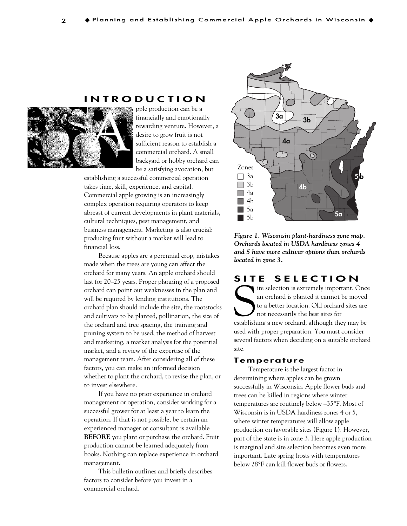# **INTRODUCTION**



pple production can be a financially and emotionally rewarding venture. However, a desire to grow fruit is not sufficient reason to establish a commercial orchard. A small backyard or hobby orchard can be a satisfying avocation, but

establishing a successful commercial operation takes time, skill, experience, and capital. Commercial apple growing is an increasingly complex operation requiring operators to keep abreast of current developments in plant materials, cultural techniques, pest management, and business management. Marketing is also crucial: producing fruit without a market will lead to financial loss.

Because apples are a perennial crop, mistakes made when the trees are young can affect the orchard for many years. An apple orchard should last for 20–25 years. Proper planning of a proposed orchard can point out weaknesses in the plan and will be required by lending institutions. The orchard plan should include the site, the rootstocks and cultivars to be planted, pollination, the size of the orchard and tree spacing, the training and pruning system to be used, the method of harvest and marketing, a market analysis for the potential market, and a review of the expertise of the management team. After considering all of these factors, you can make an informed decision whether to plant the orchard, to revise the plan, or to invest elsewhere.

If you have no prior experience in orchard management or operation, consider working for a successful grower for at least a year to learn the operation. If that is not possible, be certain an experienced manager or consultant is available **BEFORE** you plant or purchase the orchard. Fruit production cannot be learned adequately from books. Nothing can replace experience in orchard management.

This bulletin outlines and briefly describes factors to consider before you invest in a commercial orchard.



*Figure 1. Wisconsin plant-hardiness zone map. Orchards located in USDA hardiness zones 4 and 5 have more cultivar options than orchards located in zone 3.*

# **SITE SELECTION**

The selection is extremely important. Once an orchard is planted it cannot be moved to a better location. Old orchard sites are not necessarily the best sites for establishing a new orchard, although they may be ite selection is extremely important. Once an orchard is planted it cannot be moved to a better location. Old orchard sites are not necessarily the best sites for used with proper preparation. You must consider several factors when deciding on a suitable orchard site.

#### **Temperature**

Temperature is the largest factor in determining where apples can be grown successfully in Wisconsin. Apple flower buds and trees can be killed in regions where winter temperatures are routinely below –35°F. Most of Wisconsin is in USDA hardiness zones 4 or 5, where winter temperatures will allow apple production on favorable sites (Figure 1). However, part of the state is in zone 3. Here apple production is marginal and site selection becomes even more important. Late spring frosts with temperatures below 28°F can kill flower buds or flowers.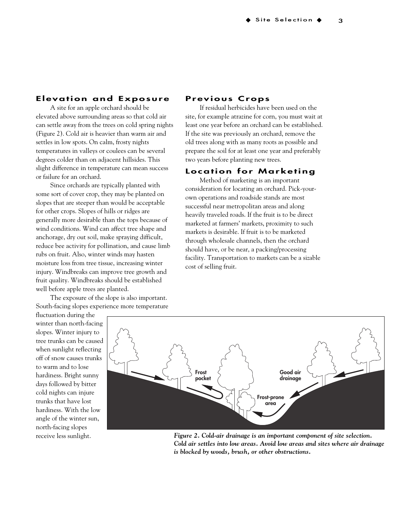# **Elevation and Exposure**

A site for an apple orchard should be elevated above surrounding areas so that cold air can settle away from the trees on cold spring nights (Figure 2). Cold air is heavier than warm air and settles in low spots. On calm, frosty nights temperatures in valleys or coulees can be several degrees colder than on adjacent hillsides. This slight difference in temperature can mean success or failure for an orchard.

Since orchards are typically planted with some sort of cover crop, they may be planted on slopes that are steeper than would be acceptable for other crops. Slopes of hills or ridges are generally more desirable than the tops because of wind conditions. Wind can affect tree shape and anchorage, dry out soil, make spraying difficult, reduce bee activity for pollination, and cause limb rubs on fruit. Also, winter winds may hasten moisture loss from tree tissue, increasing winter injury. Windbreaks can improve tree growth and fruit quality. Windbreaks should be established well before apple trees are planted.

The exposure of the slope is also important. South-facing slopes experience more temperature

fluctuation during the winter than north-facing slopes. Winter injury to tree trunks can be caused when sunlight reflecting off of snow causes trunks to warm and to lose hardiness. Bright sunny days followed by bitter cold nights can injure trunks that have lost hardiness. With the low angle of the winter sun, north-facing slopes receive less sunlight.

#### **Previous Crops**

If residual herbicides have been used on the site, for example atrazine for corn, you must wait at least one year before an orchard can be established. If the site was previously an orchard, remove the old trees along with as many roots as possible and prepare the soil for at least one year and preferably two years before planting new trees.

#### **Location for Marketing**

Method of marketing is an important consideration for locating an orchard. Pick-yourown operations and roadside stands are most successful near metropolitan areas and along heavily traveled roads. If the fruit is to be direct marketed at farmers' markets, proximity to such markets is desirable. If fruit is to be marketed through wholesale channels, then the orchard should have, or be near, a packing/processing facility. Transportation to markets can be a sizable cost of selling fruit.



*Figure 2. Cold-air drainage is an important component of site selection. Cold air settles into low areas. Avoid low areas and sites where air drainage is blocked by woods, brush, or other obstructions.*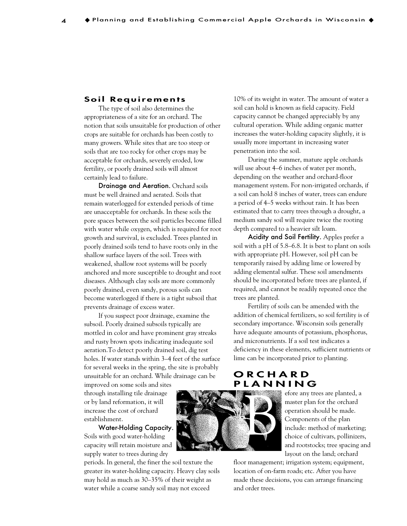#### **Soil Requirements**

The type of soil also determines the appropriateness of a site for an orchard. The notion that soils unsuitable for production of other crops are suitable for orchards has been costly to many growers. While sites that are too steep or soils that are too rocky for other crops may be acceptable for orchards, severely eroded, low fertility, or poorly drained soils will almost certainly lead to failure.

Drainage and Aeration. Orchard soils must be well drained and aerated. Soils that remain waterlogged for extended periods of time are unacceptable for orchards. In these soils the pore spaces between the soil particles become filled with water while oxygen, which is required for root growth and survival, is excluded. Trees planted in poorly drained soils tend to have roots only in the shallow surface layers of the soil. Trees with weakened, shallow root systems will be poorly anchored and more susceptible to drought and root diseases. Although clay soils are more commonly poorly drained, even sandy, porous soils can become waterlogged if there is a tight subsoil that prevents drainage of excess water.

If you suspect poor drainage, examine the subsoil. Poorly drained subsoils typically are mottled in color and have prominent gray streaks and rusty brown spots indicating inadequate soil aeration.To detect poorly drained soil, dig test holes. If water stands within 3–4 feet of the surface for several weeks in the spring, the site is probably unsuitable for an orchard. While drainage can be

improved on some soils and sites through installing tile drainage or by land reformation, it will increase the cost of orchard establishment.

Water-Holding Capacity. Soils with good water-holding capacity will retain moisture and supply water to trees during dry

periods. In general, the finer the soil texture the greater its water-holding capacity. Heavy clay soils may hold as much as 30–35% of their weight as water while a coarse sandy soil may not exceed

10% of its weight in water. The amount of water a soil can hold is known as field capacity. Field capacity cannot be changed appreciably by any cultural operation. While adding organic matter increases the water-holding capacity slightly, it is usually more important in increasing water penetration into the soil.

During the summer, mature apple orchards will use about 4–6 inches of water per month, depending on the weather and orchard-floor management system. For non-irrigated orchards, if a soil can hold 8 inches of water, trees can endure a period of 4–5 weeks without rain. It has been estimated that to carry trees through a drought, a medium sandy soil will require twice the rooting depth compared to a heavier silt loam.

Acidity and Soil Fertility. Apples prefer a soil with a pH of 5.8–6.8. It is best to plant on soils with appropriate pH. However, soil pH can be temporarily raised by adding lime or lowered by adding elemental sulfur. These soil amendments should be incorporated before trees are planted, if required, and cannot be readily repeated once the trees are planted.

Fertility of soils can be amended with the addition of chemical fertilizers, so soil fertility is of secondary importance. Wisconsin soils generally have adequate amounts of potassium, phosphorus, and micronutrients. If a soil test indicates a deficiency in these elements, sufficient nutrients or lime can be incorporated prior to planting.

# **ORCHARD PLANNING**

efore any trees are planted, a master plan for the orchard operation should be made. Components of the plan include: method of marketing; choice of cultivars, pollinizers, and rootstocks; tree spacing and layout on the land; orchard

floor management; irrigation system; equipment, location of on-farm roads; etc. After you have made these decisions, you can arrange financing and order trees.

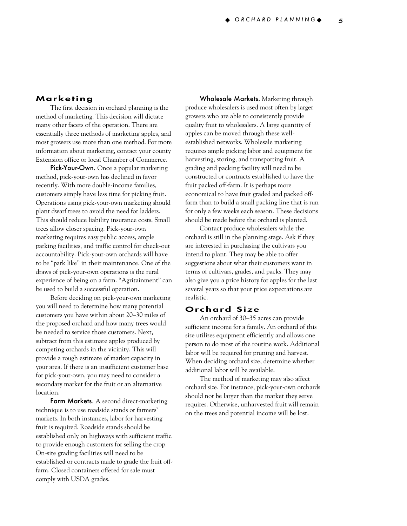## **Marketing**

The first decision in orchard planning is the method of marketing. This decision will dictate many other facets of the operation. There are essentially three methods of marketing apples, and most growers use more than one method. For more information about marketing, contact your county Extension office or local Chamber of Commerce.

Pick-Your-Own. Once a popular marketing method, pick-your-own has declined in favor recently. With more double-income families, customers simply have less time for picking fruit. Operations using pick-your-own marketing should plant dwarf trees to avoid the need for ladders. This should reduce liability insurance costs. Small trees allow closer spacing. Pick-your-own marketing requires easy public access, ample parking facilities, and traffic control for check-out accountability. Pick-your-own orchards will have to be "park like" in their maintenance. One of the draws of pick-your-own operations is the rural experience of being on a farm. "Agritainment" can be used to build a successful operation.

Before deciding on pick-your-own marketing you will need to determine how many potential customers you have within about 20–30 miles of the proposed orchard and how many trees would be needed to service those customers. Next, subtract from this estimate apples produced by competing orchards in the vicinity. This will provide a rough estimate of market capacity in your area. If there is an insufficient customer base for pick-your-own, you may need to consider a secondary market for the fruit or an alternative location.

Farm Markets. A second direct-marketing technique is to use roadside stands or farmers' markets. In both instances, labor for harvesting fruit is required. Roadside stands should be established only on highways with sufficient traffic to provide enough customers for selling the crop. On-site grading facilities will need to be established or contracts made to grade the fruit offfarm. Closed containers offered for sale must comply with USDA grades.

Wholesale Markets. Marketing through produce wholesalers is used most often by larger growers who are able to consistently provide quality fruit to wholesalers. A large quantity of apples can be moved through these wellestablished networks. Wholesale marketing requires ample picking labor and equipment for harvesting, storing, and transporting fruit. A grading and packing facility will need to be constructed or contracts established to have the fruit packed off-farm. It is perhaps more economical to have fruit graded and packed offfarm than to build a small packing line that is run for only a few weeks each season. These decisions should be made before the orchard is planted.

Contact produce wholesalers while the orchard is still in the planning stage. Ask if they are interested in purchasing the cultivars you intend to plant. They may be able to offer suggestions about what their customers want in terms of cultivars, grades, and packs. They may also give you a price history for apples for the last several years so that your price expectations are realistic.

#### **Orchard Size**

An orchard of 30–35 acres can provide sufficient income for a family. An orchard of this size utilizes equipment efficiently and allows one person to do most of the routine work. Additional labor will be required for pruning and harvest. When deciding orchard size, determine whether additional labor will be available.

The method of marketing may also affect orchard size. For instance, pick-your-own orchards should not be larger than the market they serve requires. Otherwise, unharvested fruit will remain on the trees and potential income will be lost.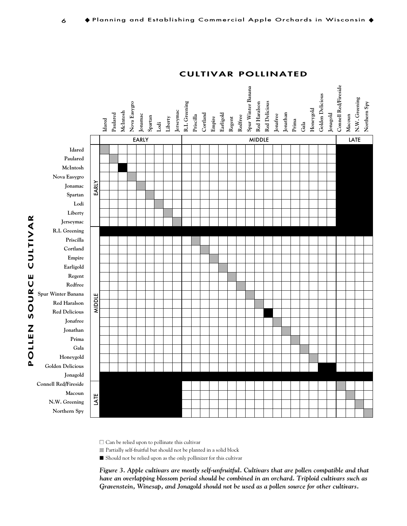

#### **CULTIVAR POLLINATED**

 $\square$  Can be relied upon to pollinate this cultivar

■ Partially self-fruitful but should not be planted in a solid block

■ Should not be relied upon as the only pollinizer for this cultivar

*Figure 3. Apple cultivars are mostly self-unfruitful. Cultivars that are pollen compatible and that have an overlapping blossom period should be combined in an orchard. Triploid cultivars such as*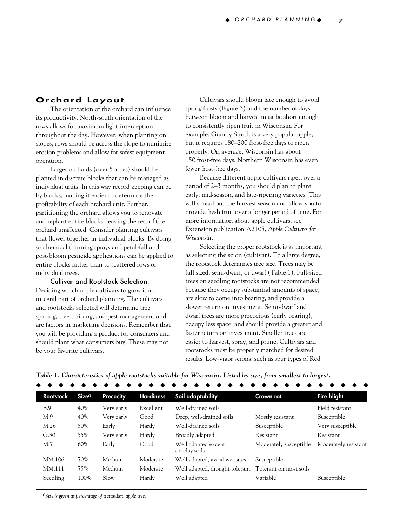#### **Orchard Layout**

The orientation of the orchard can influence its productivity. North-south orientation of the rows allows for maximum light interception throughout the day. However, when planting on slopes, rows should be across the slope to minimize erosion problems and allow for safest equipment operation.

Larger orchards (over 5 acres) should be planted in discrete blocks that can be managed as individual units. In this way record keeping can be by blocks, making it easier to determine the profitability of each orchard unit. Further, partitioning the orchard allows you to renovate and replant entire blocks, leaving the rest of the orchard unaffected. Consider planting cultivars that flower together in individual blocks. By doing so chemical thinning sprays and petal-fall and post-bloom pesticide applications can be applied to entire blocks rather than to scattered rows or individual trees.

#### Cultivar and Rootstock Selection.

Deciding which apple cultivars to grow is an integral part of orchard planning. The cultivars and rootstocks selected will determine tree spacing, tree training, and pest management and are factors in marketing decisions. Remember that you will be providing a product for consumers and should plant what consumers buy. These may not be your favorite cultivars.

Cultivars should bloom late enough to avoid spring frosts (Figure 3) and the number of days between bloom and harvest must be short enough to consistently ripen fruit in Wisconsin. For example, Granny Smith is a very popular apple, but it requires 180–200 frost-free days to ripen properly. On average, Wisconsin has about 150 frost-free days. Northern Wisconsin has even fewer frost-free days.

Because different apple cultivars ripen over a period of 2–3 months, you should plan to plant early, mid-season, and late-ripening varieties. This will spread out the harvest season and allow you to provide fresh fruit over a longer period of time. For more information about apple cultivars, see Extension publication A2105, *Apple Cultivars for Wisconsin.*

Selecting the proper rootstock is as important as selecting the scion (cultivar). To a large degree, the rootstock determines tree size. Trees may be full sized, semi-dwarf, or dwarf (Table 1). Full-sized trees on seedling rootstocks are not recommended because they occupy substantial amounts of space, are slow to come into bearing, and provide a slower return on investment. Semi-dwarf and dwarf trees are more precocious (early bearing), occupy less space, and should provide a greater and faster return on investment. Smaller trees are easier to harvest, spray, and prune. Cultivars and rootstocks must be properly matched for desired results. Low-vigor scions, such as spur types of Red

| Rootstock | Size <sup>a</sup> | <b>Precocity</b> | <b>Hardiness</b> | Soil adaptability                                     | Crown rot              | <b>Fire blight</b>   |
|-----------|-------------------|------------------|------------------|-------------------------------------------------------|------------------------|----------------------|
| B.9       | 40%               | Very early       | Excellent        | Well-drained soils                                    |                        | Field resistant      |
| M.9       | 40%               | Very early       | Good             | Deep, well-drained soils                              | Mostly resistant       | Susceptible          |
| M.26      | 50%               | Early            | Hardy            | Well-drained soils                                    | Susceptible            | Very susceptible     |
| G.30      | 55%               | Very early       | Hardy            | Broadly adapted                                       | Resistant              | Resistant            |
| M.7       | 60%               | Early            | Good             | Well adapted except<br>on clay soils                  | Moderately susceptible | Moderately resistant |
| MM.106    | 70%               | Medium           | Moderate         | Well adapted, avoid wet sites                         | Susceptible            |                      |
| MM.111    | 75%               | Medium           | Moderate         | Well adapted, drought tolerant Tolerant on most soils |                        |                      |
| Seedling  | 100%              | Slow             | Hardy            | Well adapted                                          | Variable               | Susceptible          |

◆◆◆◆◆◆◆◆◆◆◆◆◆◆◆◆◆◆◆◆◆◆◆◆◆◆◆◆◆◆

*aSize is given as percentage of a standard apple tree.*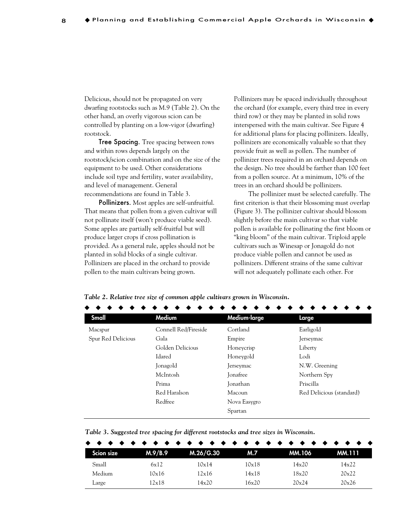Delicious, should not be propagated on very dwarfing rootstocks such as M.9 (Table 2). On the other hand, an overly vigorous scion can be controlled by planting on a low-vigor (dwarfing) rootstock.

**Tree Spacing.** Tree spacing between rows and within rows depends largely on the rootstock/scion combination and on the size of the equipment to be used. Other considerations include soil type and fertility, water availability, and level of management. General recommendations are found in Table 3.

Pollinizers. Most apples are self-unfruitful. That means that pollen from a given cultivar will not pollinate itself (won't produce viable seed). Some apples are partially self-fruitful but will produce larger crops if cross pollination is provided. As a general rule, apples should not be planted in solid blocks of a single cultivar. Pollinizers are placed in the orchard to provide pollen to the main cultivars being grown.

Pollinizers may be spaced individually throughout the orchard (for example, every third tree in every third row) or they may be planted in solid rows interspersed with the main cultivar. See Figure 4 for additional plans for placing pollinizers. Ideally, pollinizers are economically valuable so that they provide fruit as well as pollen. The number of pollinizer trees required in an orchard depends on the design. No tree should be farther than 100 feet from a pollen source. At a minimum, 10% of the trees in an orchard should be pollinizers.

The pollinizer must be selected carefully. The first criterion is that their blossoming must overlap (Figure 3). The pollinizer cultivar should blossom slightly before the main cultivar so that viable pollen is available for pollinating the first bloom or "king bloom" of the main cultivar. Triploid apple cultivars such as Winesap or Jonagold do not produce viable pollen and cannot be used as pollinizers. Different strains of the same cultivar will not adequately pollinate each other. For

*Table 2. Relative tree size of common apple cultivars grown in Wisconsin.*

| Small              | Medium               | Medium-large | Large                    |
|--------------------|----------------------|--------------|--------------------------|
| Macspur            | Connell Red/Fireside | Cortland     | Earligold                |
| Spur Red Delicious | Gala                 | Empire       | Jerseymac                |
|                    | Golden Delicious     | Honeycrisp   | Liberty                  |
|                    | Idared               | Honeygold    | Lodi                     |
|                    | Jonagold             | Jerseymac    | N.W. Greening            |
|                    | McIntosh             | Jonafree     | Northern Spy             |
|                    | Prima                | Jonathan     | Priscilla                |
|                    | Red Haralson         | Macoun       | Red Delicious (standard) |
|                    | Redfree              | Nova Easygro |                          |
|                    |                      | Spartan      |                          |

*Table 3. Suggested tree spacing for different rootstocks and tree sizes in Wisconsin.*

| <b>Scion size</b> | M.9/B.9 | M.26/G.30 | M.7   | MM.106 | <b>MM.111</b> |
|-------------------|---------|-----------|-------|--------|---------------|
| Small             | 6x12    | 10x14     | 10x18 | 14x20  | 14x22         |
| Medium            | 10x16   | 12x16     | 14x18 | 18x20  | 20x22         |
| Large             | 12x18   | 14x20     | 16x20 | 20x24  | 20x26         |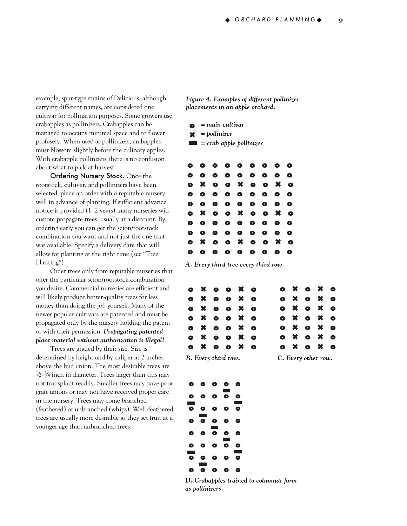example, spur-type strains of Delicious, although carrying different names, are considered one cultivar for pollination purposes. Some growers use crabapples as pollinizers. Crabapples can be managed to occupy minimal space and to flower profusely. When used as pollinizers, crabapples must blossom slightly before the culinary apples. With crabapple pollinizers there is no confusion about what to pick at harvest.

Ordering Nursery Stock. Once the rootstock, cultivar, and pollinizers have been selected, place an order with a reputable nursery well in advance of planting. If sufficient advance notice is provided (1–2 years) many nurseries will custom propagate trees, usually at a discount. By ordering early you can get the scion/rootstock combination you want and not just the one that was available. Specify a delivery date that will allow for planting at the right time (see "Tree Planting").

Order trees only from reputable nurseries that offer the particular scion/rootstock combination you desire. Commercial nurseries are efficient and will likely produce better-quality trees for less money than doing the job yourself. Many of the newer popular cultivars are patented and must be propagated only by the nursery holding the patent or with their permission. *Propagating patented plant material without authorization is illegal!* 

Trees are graded by their size. Size is determined by height and by caliper at 2 inches above the bud union. The most desirable trees are  $\frac{1}{2}$ – $\frac{3}{4}$  inch in diameter. Trees larger than this may not transplant readily. Smaller trees may have poor graft unions or may not have received proper care in the nursery. Trees may come branched (feathered) or unbranched (whips). Well-feathered trees are usually more desirable as they set fruit at a younger age than unbranched trees.

*Figure 4. Examples of different pollinizer placements in an apple orchard.*

- **o** *= main cultivar*
- ✖ *= pollinizer*
- *= crab apple pollinizer*

| Ο         | ο         | $\bullet$ | $\bullet$ | $\bullet$                 | $\bullet$ | $\bullet$ | $\bullet$ | O         |
|-----------|-----------|-----------|-----------|---------------------------|-----------|-----------|-----------|-----------|
| Δ         | ο         | $\bullet$ | $\bullet$ | $\bullet$                 | $\bullet$ | $\bullet$ | $\bullet$ | Ο         |
| $\bullet$ | ×         | $\bullet$ | $\bullet$ | $\pmb{\times}$            | $\bullet$ | $\bullet$ | ×         | $\bullet$ |
| Ο         | $\bullet$ | $\bullet$ | $\bullet$ | $\bullet$                 | $\bullet$ | $\bullet$ | $\bullet$ | O         |
| Ο         | $\bullet$ | $\bullet$ | $\bullet$ | $\bullet$                 | $\bullet$ | $\bullet$ | $\bullet$ | $\bullet$ |
| $\bullet$ | ×         | $\bullet$ | $\bullet$ | $\boldsymbol{\mathsf{x}}$ | $\bullet$ | $\bullet$ | ×         | $\bullet$ |
| $\bullet$ | $\bullet$ | $\bullet$ | $\bullet$ | $\bullet$                 | $\bullet$ | $\bullet$ | $\bullet$ | O         |
| Ο         | $\bullet$ | $\bullet$ | $\bullet$ | $\bullet$                 | $\bullet$ | $\bullet$ | $\bullet$ | $\bullet$ |
| $\bullet$ | ×         | $\bullet$ | $\bullet$ | $\pmb{\times}$            | $\bullet$ | $\bullet$ | ×         | $\bullet$ |
|           | Ο         | $\bullet$ | $\bullet$ | $\bullet$                 | $\bullet$ | $\bullet$ | O         | Ο         |

*A. Every third tree every third row.* 

|                     |  | O X O O X O |  |  | O X O X O             |  |
|---------------------|--|-------------|--|--|-----------------------|--|
|                     |  | O X O O X O |  |  | 0 x 0 x 0             |  |
|                     |  | O X O O X O |  |  | $o \times o \times o$ |  |
|                     |  | O X O O X O |  |  | $o \times o \times o$ |  |
|                     |  | O X O O X O |  |  | O X O X O             |  |
|                     |  | O X O O X O |  |  | O X O X O             |  |
|                     |  | O X O O X O |  |  | O X O X O             |  |
| B. Every third row. |  |             |  |  | C. Every other row.   |  |



*D. Crabapples trained to columnar form as pollinizers.*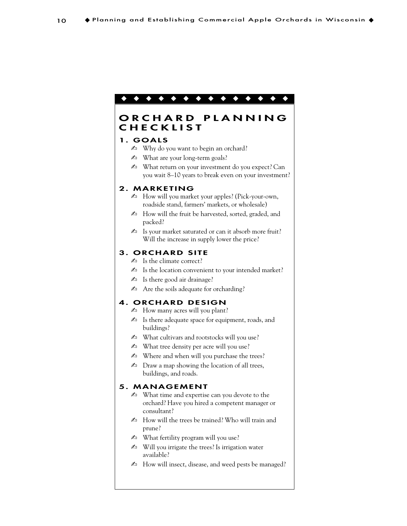# ◆◆◆◆◆◆◆◆◆◆◆◆◆◆

# **ORCHARD PLANNING CHECKLIST**

#### **1. GOALS**

- ✍ Why do you want to begin an orchard?
- $\mathbb{Z}$  What are your long-term goals?
- ✍ What return on your investment do you expect? Can you wait 8–10 years to break even on your investment?

#### **2. MARKETING**

- ✍ How will you market your apples? (Pick-your-own, roadside stand, farmers' markets, or wholesale)
- $\triangle$  How will the fruit be harvested, sorted, graded, and packed?
- $\triangle$  Is your market saturated or can it absorb more fruit? Will the increase in supply lower the price?

#### **3. ORCHARD SITE**

- $\triangle$  Is the climate correct?
- ✍ Is the location convenient to your intended market?
- $\triangle$  Is there good air drainage?
- $\triangle$  Are the soils adequate for orcharding?

#### **4. ORCHARD DESIGN**

- $\blacktriangle$  How many acres will you plant?
- $\blacktriangle$  Is there adequate space for equipment, roads, and buildings?
- ✍ What cultivars and rootstocks will you use?
- $\mathbb{Z}$  What tree density per acre will you use?
- $\triangle$  Where and when will you purchase the trees?
- $\triangle$  Draw a map showing the location of all trees, buildings, and roads.

#### **5. MANAGEMENT**

- ✍ What time and expertise can you devote to the orchard? Have you hired a competent manager or consultant?
- $\triangle$  How will the trees be trained? Who will train and prune?
- $\triangle$  What fertility program will you use?
- $\mathbb{Z}$  Will you irrigate the trees? Is irrigation water available?
- $\triangle$  How will insect, disease, and weed pests be managed?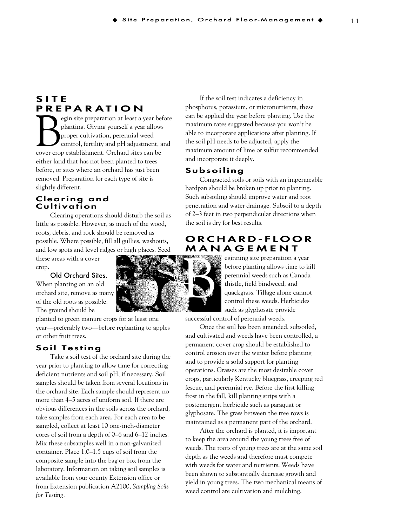# **SITE PREPARATION**

egin site preparation at least a year before<br>planting. Giving yourself a year allows<br>proper cultivation, perennial weed<br>control, fertility and pH adjustment, and<br>cover crop establishment. Orchard sites can be planting. Giving yourself a year allows proper cultivation, perennial weed control, fertility and pH adjustment, and either land that has not been planted to trees before, or sites where an orchard has just been removed. Preparation for each type of site is slightly different.

#### **Clearing and Cultivation**

Clearing operations should disturb the soil as little as possible. However, as much of the wood, roots, debris, and rock should be removed as possible. Where possible, fill all gullies, washouts, and low spots and level ridges or high places. Seed

these areas with a cover crop.

#### Old Orchard Sites.

When planting on an old orchard site, remove as many of the old roots as possible. The ground should be

planted to green manure crops for at least one year—preferably two—before replanting to apples or other fruit trees.

## **Soil Testing**

Take a soil test of the orchard site during the year prior to planting to allow time for correcting deficient nutrients and soil pH, if necessary. Soil samples should be taken from several locations in the orchard site. Each sample should represent no more than 4–5 acres of uniform soil. If there are obvious differences in the soils across the orchard, take samples from each area. For each area to be sampled, collect at least 10 one-inch-diameter cores of soil from a depth of 0–6 and 6–12 inches. Mix these subsamples well in a non-galvanized container. Place 1.0–1.5 cups of soil from the composite sample into the bag or box from the laboratory. Information on taking soil samples is available from your county Extension office or from Extension publication A2100, *Sampling Soils for Testing.*

If the soil test indicates a deficiency in phosphorus, potassium, or micronutrients, these can be applied the year before planting. Use the maximum rates suggested because you won't be able to incorporate applications after planting. If the soil pH needs to be adjusted, apply the maximum amount of lime or sulfur recommended and incorporate it deeply.

#### **Subsoiling**

Compacted soils or soils with an impermeable hardpan should be broken up prior to planting. Such subsoiling should improve water and root penetration and water drainage. Subsoil to a depth of 2–3 feet in two perpendicular directions when the soil is dry for best results.

# **ORCHARD-FLOOR MANAGEMENT**



eginning site preparation a year before planting allows time to kill perennial weeds such as Canada thistle, field bindweed, and quackgrass. Tillage alone cannot control these weeds. Herbicides such as glyphosate provide

successful control of perennial weeds.

Once the soil has been amended, subsoiled, and cultivated and weeds have been controlled, a

permanent cover crop should be established to control erosion over the winter before planting and to provide a solid support for planting operations. Grasses are the most desirable cover crops, particularly Kentucky bluegrass, creeping red fescue, and perennial rye. Before the first killing frost in the fall, kill planting strips with a postemergent herbicide such as paraquat or glyphosate. The grass between the tree rows is maintained as a permanent part of the orchard.

After the orchard is planted, it is important to keep the area around the young trees free of weeds. The roots of young trees are at the same soil depth as the weeds and therefore must compete with weeds for water and nutrients. Weeds have been shown to substantially decrease growth and yield in young trees. The two mechanical means of weed control are cultivation and mulching.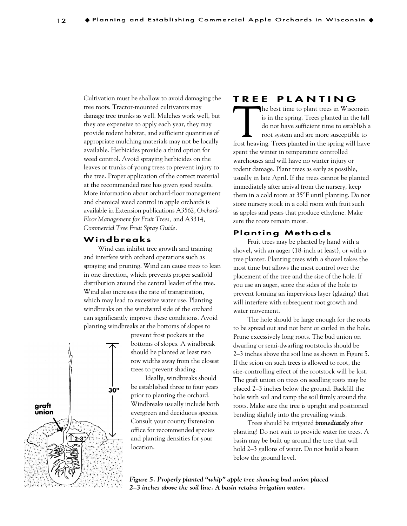Cultivation must be shallow to avoid damaging the tree roots. Tractor-mounted cultivators may damage tree trunks as well. Mulches work well, but they are expensive to apply each year, they may provide rodent habitat, and sufficient quantities of appropriate mulching materials may not be locally available. Herbicides provide a third option for weed control. Avoid spraying herbicides on the leaves or trunks of young trees to prevent injury to the tree. Proper application of the correct material at the recommended rate has given good results. More information about orchard-floor management and chemical weed control in apple orchards is available in Extension publications A3562, *Orchard-Floor Management for Fruit Trees,* and A3314, *Commercial Tree Fruit Spray Guide.*

#### **Windbreaks**

Wind can inhibit tree growth and training and interfere with orchard operations such as spraying and pruning. Wind can cause trees to lean in one direction, which prevents proper scaffold distribution around the central leader of the tree. Wind also increases the rate of transpiration, which may lead to excessive water use. Planting windbreaks on the windward side of the orchard can significantly improve these conditions. Avoid planting windbreaks at the bottoms of slopes to

> prevent frost pockets at the bottoms of slopes. A windbreak should be planted at least two row widths away from the closest trees to prevent shading.

> Ideally, windbreaks should be established three to four years prior to planting the orchard. Windbreaks usually include both evergreen and deciduous species. Consult your county Extension office for recommended species and planting densities for your location.

# **TREE PLANTING**

The best time to plant trees in Wisconsin is in the spring. Trees planted in the fall do not have sufficient time to establish a root system and are more susceptible to frost heaving. Trees planted in the spring will have spent the winter in temperature controlled warehouses and will have no winter injury or rodent damage. Plant trees as early as possible, usually in late April. If the trees cannot be planted immediately after arrival from the nursery, keep them in a cold room at 35°F until planting. Do not store nursery stock in a cold room with fruit such as apples and pears that produce ethylene. Make sure the roots remain moist.

#### **Planting Methods**

Fruit trees may be planted by hand with a shovel, with an auger (18-inch at least), or with a tree planter. Planting trees with a shovel takes the most time but allows the most control over the placement of the tree and the size of the hole. If you use an auger, score the sides of the hole to prevent forming an impervious layer (glazing) that will interfere with subsequent root growth and water movement.

The hole should be large enough for the roots to be spread out and not bent or curled in the hole. Prune excessively long roots. The bud union on dwarfing or semi-dwarfing rootstocks should be 2–3 inches above the soil line as shown in Figure 5. If the scion on such trees is allowed to root, the size-controlling effect of the rootstock will be lost. The graft union on trees on seedling roots may be placed 2–3 inches below the ground. Backfill the hole with soil and tamp the soil firmly around the roots. Make sure the tree is upright and positioned bending slightly into the prevailing winds.

Trees should be irrigated *immediately* after planting! Do not wait to provide water for trees. A basin may be built up around the tree that will hold 2–3 gallons of water. Do not build a basin below the ground level.



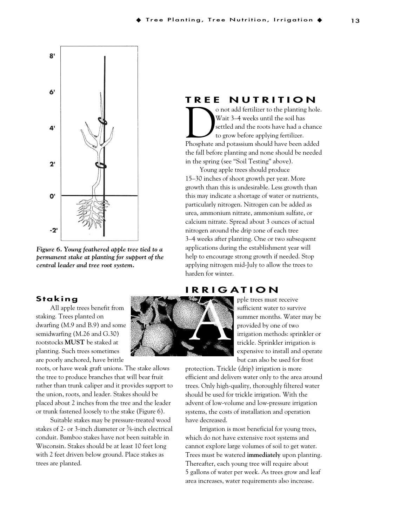

*Figure 6. Young feathered apple tree tied to a permanent stake at planting for support of the central leader and tree root system.*

#### **Staking**

All apple trees benefit from staking. Trees planted on dwarfing (M.9 and B.9) and some semidwarfing (M.26 and G.30) rootstocks **MUST** be staked at planting. Such trees sometimes are poorly anchored, have brittle

roots, or have weak graft unions. The stake allows the tree to produce branches that will bear fruit rather than trunk caliper and it provides support to the union, roots, and leader. Stakes should be placed about 2 inches from the tree and the leader or trunk fastened loosely to the stake (Figure 6).

Suitable stakes may be pressure-treated wood stakes of 2- or 3-inch diameter or 3 ⁄4-inch electrical conduit. Bamboo stakes have not been suitable in Wisconsin. Stakes should be at least 10 feet long with 2 feet driven below ground. Place stakes as trees are planted.

# **AND RESERVE**

**TREE NUTRITION**<br>onot add fertilizer to the planting hole.

O not add fertilizer to the planting hole.<br>
Wait 3–4 weeks until the soil has<br>
settled and the roots have had a chance<br>
to grow before applying fertilizer.<br>
Phosphate and potassium should have been added Wait 3–4 weeks until the soil has settled and the roots have had a chance to grow before applying fertilizer. the fall before planting and none should be needed in the spring (see "Soil Testing" above).

Young apple trees should produce 15–30 inches of shoot growth per year. More growth than this is undesirable. Less growth than this may indicate a shortage of water or nutrients, particularly nitrogen. Nitrogen can be added as urea, ammonium nitrate, ammonium sulfate, or calcium nitrate. Spread about 3 ounces of actual nitrogen around the drip zone of each tree 3–4 weeks after planting. One or two subsequent applications during the establishment year will help to encourage strong growth if needed. Stop applying nitrogen mid-July to allow the trees to harden for winter.

# **IRRIGATION**

pple trees must receive sufficient water to survive summer months. Water may be provided by one of two irrigation methods: sprinkler or trickle. Sprinkler irrigation is expensive to install and operate but can also be used for frost

protection. Trickle (drip) irrigation is more efficient and delivers water only to the area around trees. Only high-quality, thoroughly filtered water should be used for trickle irrigation. With the advent of low-volume and low-pressure irrigation systems, the costs of installation and operation have decreased.

Irrigation is most beneficial for young trees, which do not have extensive root systems and cannot explore large volumes of soil to get water. Trees must be watered **immediately** upon planting. Thereafter, each young tree will require about 5 gallons of water per week. As trees grow and leaf area increases, water requirements also increase.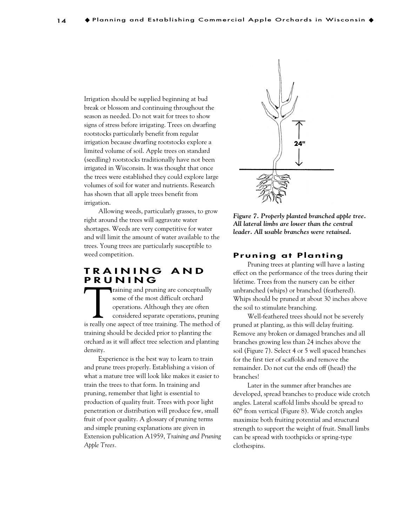Irrigation should be supplied beginning at bud break or blossom and continuing throughout the season as needed. Do not wait for trees to show signs of stress before irrigating. Trees on dwarfing rootstocks particularly benefit from regular irrigation because dwarfing rootstocks explore a limited volume of soil. Apple trees on standard (seedling) rootstocks traditionally have not been irrigated in Wisconsin. It was thought that once the trees were established they could explore large volumes of soil for water and nutrients. Research has shown that all apple trees benefit from irrigation.

Allowing weeds, particularly grasses, to grow right around the trees will aggravate water shortages. Weeds are very competitive for water and will limit the amount of water available to the trees. Young trees are particularly susceptible to weed competition.

# **TRAINING AND PRUNING**<br> **PRUNING**<br> **PRUNI** raining and pruning are conceptually

Training and pruning are conceptually<br>
some of the most difficult orchard<br>
operations. Although they are often<br>
considered separate operations, pruning<br>
is really one aspect of tree training. The method of some of the most difficult orchard operations. Although they are often considered separate operations, pruning training should be decided prior to planting the orchard as it will affect tree selection and planting density.

Experience is the best way to learn to train and prune trees properly. Establishing a vision of what a mature tree will look like makes it easier to train the trees to that form. In training and pruning, remember that light is essential to production of quality fruit. Trees with poor light penetration or distribution will produce few, small fruit of poor quality. A glossary of pruning terms and simple pruning explanations are given in Extension publication A1959, *Training and Pruning Apple Trees.*



*Figure 7. Properly planted branched apple tree. All lateral limbs are lower than the central leader. All usable branches were retained.*

#### **Pruning at Planting**

Pruning trees at planting will have a lasting effect on the performance of the trees during their lifetime. Trees from the nursery can be either unbranched (whips) or branched (feathered). Whips should be pruned at about 30 inches above the soil to stimulate branching.

Well-feathered trees should not be severely pruned at planting, as this will delay fruiting. Remove any broken or damaged branches and all branches growing less than 24 inches above the soil (Figure 7). Select 4 or 5 well spaced branches for the first tier of scaffolds and remove the remainder. Do not cut the ends off (head) the branches!

Later in the summer after branches are developed, spread branches to produce wide crotch angles. Lateral scaffold limbs should be spread to 60° from vertical (Figure 8). Wide crotch angles maximize both fruiting potential and structural strength to support the weight of fruit. Small limbs can be spread with toothpicks or spring-type clothespins.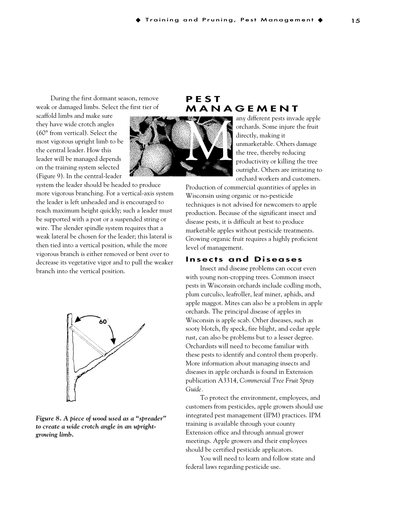During the first dormant season, remove weak or damaged limbs. Select the first tier of

scaffold limbs and make sure they have wide crotch angles (60° from vertical). Select the most vigorous upright limb to be the central leader. How this leader will be managed depends on the training system selected (Figure 9). In the central-leader

M

system the leader should be headed to produce more vigorous branching. For a vertical-axis system the leader is left unheaded and is encouraged to reach maximum height quickly; such a leader must be supported with a post or a suspended string or wire. The slender spindle system requires that a weak lateral be chosen for the leader; this lateral is then tied into a vertical position, while the more vigorous branch is either removed or bent over to decrease its vegetative vigor and to pull the weaker branch into the vertical position.



*Figure 8. A piece of wood used as a "spreader" to create a wide crotch angle in an uprightgrowing limb.*

# **PEST MANAGEMENT**

any different pests invade apple orchards. Some injure the fruit directly, making it unmarketable. Others damage the tree, thereby reducing productivity or killing the tree outright. Others are irritating to orchard workers and customers.

Production of commercial quantities of apples in Wisconsin using organic or no-pesticide techniques is not advised for newcomers to apple production. Because of the significant insect and disease pests, it is difficult at best to produce marketable apples without pesticide treatments. Growing organic fruit requires a highly proficient level of management.

#### **Insects and Diseases**

Insect and disease problems can occur even with young non-cropping trees. Common insect pests in Wisconsin orchards include codling moth, plum curculio, leafroller, leaf miner, aphids, and apple maggot. Mites can also be a problem in apple orchards. The principal disease of apples in Wisconsin is apple scab. Other diseases, such as sooty blotch, fly speck, fire blight, and cedar apple rust, can also be problems but to a lesser degree. Orchardists will need to become familiar with these pests to identify and control them properly. More information about managing insects and diseases in apple orchards is found in Extension publication A3314, *Commercial Tree Fruit Spray Guide.*

To protect the environment, employees, and customers from pesticides, apple growers should use integrated pest management (IPM) practices. IPM training is available through your county Extension office and through annual grower meetings. Apple growers and their employees should be certified pesticide applicators.

You will need to learn and follow state and federal laws regarding pesticide use.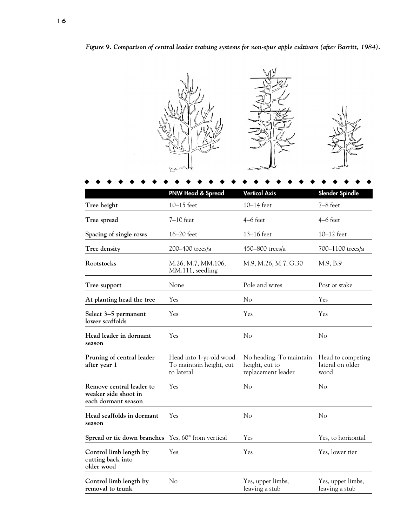*Figure 9. Comparison of central leader training systems for non-spur apple cultivars (after Barritt, 1984).*

**PNW Head & Spread Vertical Axis Slender Spindle Tree height** 10–15 feet 10–14 feet 7–8 feet **Tree spread** 7-10 feet 4-6 feet 4-6 feet 4-6 feet 4-6 feet 4-6 feet 4-6 feet **Spacing of single rows** 16–20 feet 13–16 feet 10–12 feet **Tree density** 200–400 trees/a 450–800 trees/a 700–1100 trees/a **Rootstocks** M.26, M.7, MM.106, M.9, M.26, M.7, G.30 M.9, B.9 MM.111, seedling **Tree support** None Pole and wires Post or stake **At planting head the tree** Yes No Yes **Select 3–5 permanent** Yes Yes Yes **lower scaffolds Head leader in dormant** Yes No No No No **season Pruning of central leader** Head into 1-yr-old wood. No heading. To maintain Head to competing after year 1 To maintain height, cut height, cut to lateral on older **after year 1** To maintain height, cut to lateral replacement leader wood **Remove central leader to** Yes No No No **weaker side shoot in each dormant season Head scaffolds in dormant** Yes No No **season Spread or tie down branches** Yes, 60° from vertical Yes Yes, to horizontal Yes, to horizontal **Control limb length by** Yes Yes Yes Yes, lower tier ◆◆◆◆◆◆◆◆◆◆◆◆◆◆◆◆◆◆◆◆◆◆◆◆◆◆

**Control limb length by** No Yes, upper limbs, Yes, upper limbs, **removal to trunk removal to trunk leaving a stub** leaving a stub leaving a stub

**cutting back into older wood**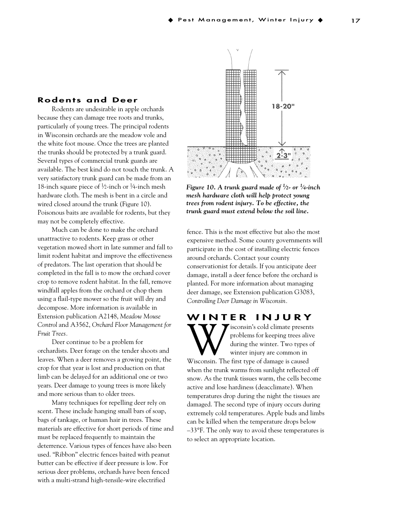#### **Rodents and Deer**

Rodents are undesirable in apple orchards because they can damage tree roots and trunks, particularly of young trees. The principal rodents in Wisconsin orchards are the meadow vole and the white foot mouse. Once the trees are planted the trunks should be protected by a trunk guard. Several types of commercial trunk guards are available. The best kind do not touch the trunk. A very satisfactory trunk guard can be made from an 18-inch square piece of  $\frac{1}{2}$ -inch or  $\frac{1}{4}$ -inch mesh hardware cloth. The mesh is bent in a circle and wired closed around the trunk (Figure 10). Poisonous baits are available for rodents, but they may not be completely effective.

Much can be done to make the orchard unattractive to rodents. Keep grass or other vegetation mowed short in late summer and fall to limit rodent habitat and improve the effectiveness of predators. The last operation that should be completed in the fall is to mow the orchard cover crop to remove rodent habitat. In the fall, remove windfall apples from the orchard or chop them using a flail-type mower so the fruit will dry and decompose. More information is available in Extension publication A2148, *Meadow Mouse Control* and A3562, *Orchard Floor Management for Fruit Trees.*

Deer continue to be a problem for orchardists. Deer forage on the tender shoots and leaves. When a deer removes a growing point, the crop for that year is lost and production on that limb can be delayed for an additional one or two years. Deer damage to young trees is more likely and more serious than to older trees.

Many techniques for repelling deer rely on scent. These include hanging small bars of soap, bags of tankage, or human hair in trees. These materials are effective for short periods of time and must be replaced frequently to maintain the deterrence. Various types of fences have also been used. "Ribbon" electric fences baited with peanut butter can be effective if deer pressure is low. For serious deer problems, orchards have been fenced with a multi-strand high-tensile-wire electrified



*Figure 10. A trunk guard made of 1 ⁄2- or 1 ⁄4-inch mesh hardware cloth will help protect young trees from rodent injury. To be effective, the trunk guard must extend below the soil line.*

fence. This is the most effective but also the most expensive method. Some county governments will participate in the cost of installing electric fences around orchards. Contact your county conservationist for details. If you anticipate deer damage, install a deer fence before the orchard is planted. For more information about managing deer damage, see Extension publication G3083, *Controlling Deer Damage in Wisconsin.*

**WINTER INJURY**<br>**TTY 7** isconsin's cold climate presents Wisconsin's cold climate presents<br>
during the winter. Two types of<br>
Wisconsin. The first type of damage is caused problems for keeping trees alive during the winter. Two types of winter injury are common in

when the trunk warms from sunlight reflected off snow. As the trunk tissues warm, the cells become active and lose hardiness (deacclimate). When temperatures drop during the night the tissues are damaged. The second type of injury occurs during extremely cold temperatures. Apple buds and limbs can be killed when the temperature drops below  $-33$ °F. The only way to avoid these temperatures is to select an appropriate location.

17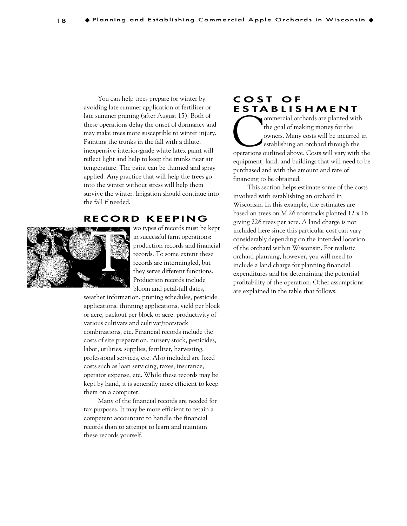You can help trees prepare for winter by avoiding late summer application of fertilizer or late summer pruning (after August 15). Both of these operations delay the onset of dormancy and may make trees more susceptible to winter injury. Painting the trunks in the fall with a dilute, inexpensive interior-grade white latex paint will reflect light and help to keep the trunks near air temperature. The paint can be thinned and spray applied. Any practice that will help the trees go into the winter without stress will help them survive the winter. Irrigation should continue into the fall if needed.

#### **RECORD KEEPING**



wo types of records must be kept in successful farm operations: production records and financial records. To some extent these records are intermingled, but they serve different functions. Production records include bloom and petal-fall dates,

weather information, pruning schedules, pesticide applications, thinning applications, yield per block or acre, packout per block or acre, productivity of various cultivars and cultivar/rootstock combinations, etc. Financial records include the costs of site preparation, nursery stock, pesticides, labor, utilities, supplies, fertilizer, harvesting, professional services, etc. Also included are fixed costs such as loan servicing, taxes, insurance, operator expense, etc. While these records may be kept by hand, it is generally more efficient to keep them on a computer.

Many of the financial records are needed for tax purposes. It may be more efficient to retain a competent accountant to handle the financial records than to attempt to learn and maintain these records yourself.

# **COST OF ESTABLISHMENT**<br> **ESTABLISHMENT**

Commercial orchards are planted with<br>the goal of making money for the<br>owners. Many costs will be incurred in<br>establishing an orchard through the<br>operations outlined above. Costs will vary with the the goal of making money for the owners. Many costs will be incurred in establishing an orchard through the equipment, land, and buildings that will need to be purchased and with the amount and rate of financing to be obtained.

This section helps estimate some of the costs involved with establishing an orchard in Wisconsin. In this example, the estimates are based on trees on M.26 rootstocks planted 12 x 16 giving 226 trees per acre. A land charge is not included here since this particular cost can vary considerably depending on the intended location of the orchard within Wisconsin. For realistic orchard planning, however, you will need to include a land charge for planning financial expenditures and for determining the potential profitability of the operation. Other assumptions are explained in the table that follows.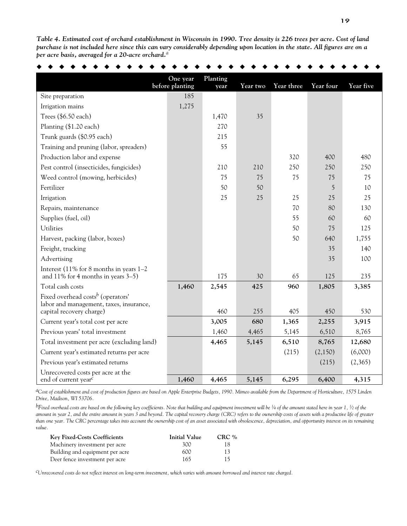*Table 4. Estimated cost of orchard establishment in Wisconsin in 1990. Tree density is 226 trees per acre. Cost of land purchase is not included here since this can vary considerably depending upon location in the state. All figures are on a per acre basis, averaged for a 20-acre orchard.<sup>a</sup>*

|                                                                                          | One year<br>before planting | Planting<br>year | Year two | Year three | Year four | Year five |
|------------------------------------------------------------------------------------------|-----------------------------|------------------|----------|------------|-----------|-----------|
| Site preparation                                                                         | 185                         |                  |          |            |           |           |
| Irrigation mains                                                                         | 1,275                       |                  |          |            |           |           |
| Trees $(\$6.50$ each)                                                                    |                             | 1,470            | 35       |            |           |           |
| Planting (\$1.20 each)                                                                   |                             | 270              |          |            |           |           |
| Trunk guards (\$0.95 each)                                                               |                             | 215              |          |            |           |           |
| Training and pruning (labor, spreaders)                                                  |                             | 55               |          |            |           |           |
| Production labor and expense                                                             |                             |                  |          | 320        | 400       | 480       |
| Pest control (insecticides, fungicides)                                                  |                             | 210              | 210      | 250        | 250       | 250       |
| Weed control (mowing, herbicides)                                                        |                             | 75               | 75       | 75         | 75        | 75        |
| Fertilizer                                                                               |                             | 50               | 50       |            | 5         | 10        |
| Irrigation                                                                               |                             | 25               | 25       | 25         | 25        | 25        |
| Repairs, maintenance                                                                     |                             |                  |          | 70         | 80        | 130       |
| Supplies (fuel, oil)                                                                     |                             |                  |          | 55         | 60        | 60        |
| Utilities                                                                                |                             |                  |          | 50         | 75        | 125       |
| Harvest, packing (labor, boxes)                                                          |                             |                  |          | 50         | 640       | 1,755     |
| Freight, trucking                                                                        |                             |                  |          |            | 35        | 140       |
| Advertising                                                                              |                             |                  |          |            | 35        | 100       |
| Interest (11% for 8 months in years 1-2<br>and 11% for 4 months in years 3-5)            |                             | 175              | 30       | 65         | 125       | 235       |
| Total cash costs                                                                         | 1,460                       | 2,545            | 425      | 960        | 1,805     | 3,385     |
| Fixed overhead costs <sup>b</sup> (operators'<br>labor and management, taxes, insurance, |                             |                  |          |            |           |           |
| capital recovery charge)                                                                 |                             | 460              | 255      | 405        | 450       | 530       |
| Current year's total cost per acre                                                       |                             | 3,005            | 680      | 1,365      | 2,255     | 3,915     |
| Previous years' total investment                                                         |                             | 1,460            | 4,465    | 5,145      | 6,510     | 8,765     |
| Total investment per acre (excluding land)                                               |                             | 4,465            | 5,145    | 6,510      | 8,765     | 12,680    |
| Current year's estimated returns per acre                                                |                             |                  |          | (215)      | (2,150)   | (6,000)   |
| Previous year's estimated returns                                                        |                             |                  |          |            | (215)     | (2,365)   |
| Unrecovered costs per acre at the                                                        |                             |                  |          |            |           |           |
| end of current year <sup>c</sup>                                                         | 1,460                       | 4,465            | 5,145    | 6,295      | 6,400     | 4,315     |

*aCost of establishment and cost of production figures are based on Apple Enterprise Budgets, 1990. Mimeo available from the Department of Horticulture, 1575 Linden Drive, Madison, WI 53706.*

*bFixed overhead costs are based on the following key coefficients. Note that building and equipment investment will be 1 ⁄4 of the amount stated here in year 1, 1 ⁄2 of the amount in year 2, and the entire amount in years 3 and beyond. The capital recovery charge (CRC) refers to the ownership costs of assets with a productive life of greater than one year. The CRC percentage takes into account the ownership cost of an asset associated with obsolescence, depreciation, and opportunity interest on its remaining value.*

| <b>Key Fixed-Costs Coefficients</b> | Initial Value | $CRC$ % |
|-------------------------------------|---------------|---------|
| Machinery investment per acre       | 300           | 18.     |
| Building and equipment per acre     | 600           | 13.     |
| Deer fence investment per acre      | 165           | 15      |

*cUnrecovered costs do not reflect interest on long-term investment, which varies with amount borrowed and interest rate charged.*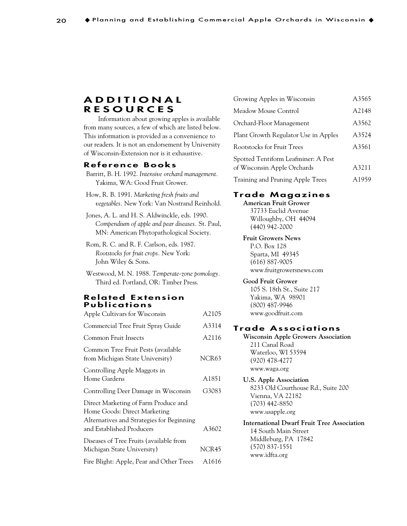# **ADDITIONAL RESOURCES**

Information about growing apples is available from many sources, a few of which are listed below. This information is provided as a convenience to our readers. It is not an endorsement by University of Wisconsin-Extension nor is it exhaustive.

#### **Reference Books**

- Barritt, B. H. 1992. *Intensive orchard management.* Yakima, WA: Good Fruit Grower.
- How, R. B. 1991. *Marketing fresh fruits and vegetables.* New York: Van Nostrand Reinhold.
- Jones, A. L. and H. S. Aldwinckle, eds. 1990. *Compendium of apple and pear diseases.* St. Paul, MN: American Phytopathological Society.
- Rom, R. C. and R. F. Carlson, eds. 1987. *Rootstocks for fruit crops.* New York: John Wiley & Sons.
- Westwood, M. N. 1988. *Temperate-zone pomology.* Third ed. Portland, OR: Timber Press.

#### **Related Extension Publications**

| Apple Cultivars for Wisconsin                                                                                     | A2105             |
|-------------------------------------------------------------------------------------------------------------------|-------------------|
| Commercial Tree Fruit Spray Guide                                                                                 | A3314             |
| Common Fruit Insects                                                                                              | A2116             |
| Common Tree Fruit Pests (available<br>from Michigan State University)                                             | NCR63             |
| Controlling Apple Maggots in<br>Home Gardens                                                                      | A1851             |
| Controlling Deer Damage in Wisconsin                                                                              | G3083             |
| Direct Marketing of Farm Produce and<br>Home Goods: Direct Marketing<br>Alternatives and Strategies for Beginning |                   |
| and Established Producers                                                                                         | A3602             |
| Diseases of Tree Fruits (available from<br>Michigan State University)                                             | NCR45             |
| Fire Blight: Apple, Pear and Other Trees                                                                          | A <sub>1616</sub> |

| Growing Apples in Wisconsin                                        | A3565 |
|--------------------------------------------------------------------|-------|
| Meadow Mouse Control                                               | A2148 |
| Orchard-Floor Management                                           | A3562 |
| Plant Growth Regulator Use in Apples                               | A3524 |
| <b>Rootstocks for Fruit Trees</b>                                  | A3561 |
| Spotted Tentiform Leafminer: A Pest<br>of Wisconsin Apple Orchards | A3211 |
| Training and Pruning Apple Trees                                   | A1959 |

# **Trade Magazines**

**American Fruit Grower** 37733 Euclid Avenue Willoughby, OH 44094 (440) 942-2000

#### **Fruit Growers News**

P.O. Box 128 Sparta, MI 49345 (616) 887-9005 www.fruitgrowersnews.com

#### **Good Fruit Grower**

105 S. 18th St., Suite 217 Yakima, WA 98901 (800) 487-9946 www.goodfruit.com

#### **Trade Associations**

**Wisconsin Apple Growers Association** 211 Canal Road Waterloo, WI 53594 (920) 478-4277 www.waga.org

# **U.S. Apple Association**

8233 Old Courthouse Rd., Suite 200 Vienna, VA 22182 (703) 442-8850 www.usapple.org

#### **International Dwarf Fruit Tree Association** 14 South Main Street Middleburg, PA 17842

(570) 837-1551 www.idfta.org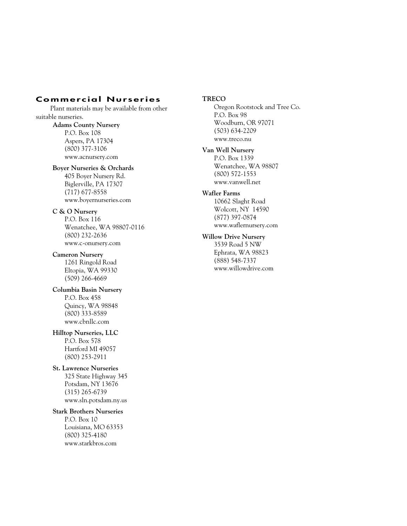# **Commercial Nurseries**

Plant materials may be available from other suitable nurseries. **Adams County Nursery**

P.O. Box 108 Aspers, PA 17304 (800) 377-3106 www.acnursery.com

#### **Boyer Nurseries & Orchards**

405 Boyer Nursery Rd. Biglerville, PA 17307 (717) 677-8558 www.boyernurseries.com

#### **C & O Nursery**

P.O. Box 116 Wenatchee, WA 98807-0116 (800) 232-2636 www.c-onursery.com

**Cameron Nursery** 1261 Ringold Road Eltopia, WA 99330 (509) 266-4669

**Columbia Basin Nursery** P.O. Box 458 Quincy, WA 98848 (800) 333-8589 www.cbnllc.com

**Hilltop Nurseries, LLC** P.O. Box 578 Hartford MI 49057 (800) 253-2911

# **St. Lawrence Nurseries**

325 State Highway 345 Potsdam, NY 13676 (315) 265-6739 www.sln.potsdam.ny.us

#### **Stark Brothers Nurseries**

P.O. Box 10 Louisiana, MO 63353 (800) 325-4180 www.starkbros.com

#### **TRECO**

Oregon Rootstock and Tree Co. P.O. Box 98 Woodburn, OR 97071 (503) 634-2209 www.treco.nu

#### **Van Well Nursery**

P.O. Box 1339 Wenatchee, WA 98807 (800) 572-1553 www.vanwell.net

#### **Wafler Farms**

10662 Slaght Road Wolcott, NY 14590 (877) 397-0874 www.waflernursery.com

#### **Willow Drive Nursery**

3539 Road 5 NW Ephrata, WA 98823 (888) 548-7337 www.willowdrive.com